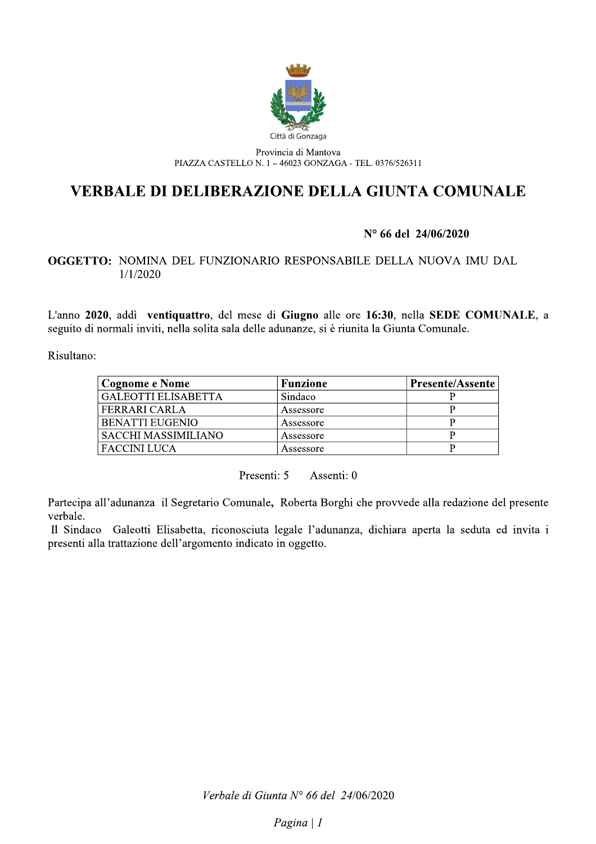

Provincia di Mantova PIAZZA CASTELLO N. 1 - 46023 GONZAGA - TEL. 0376/526311

# **VERBALE DI DELIBERAZIONE DELLA GIUNTA COMUNALE**

# N° 66 del 24/06/2020

# OGGETTO: NOMINA DEL FUNZIONARIO RESPONSABILE DELLA NUOVA IMU DAL  $1/1/2020$

L'anno 2020, addì ventiquattro, del mese di Giugno alle ore 16:30, nella SEDE COMUNALE, a seguito di normali inviti, nella solita sala delle adunanze, si è riunita la Giunta Comunale.

Risultano:

| Cognome e Nome        | <b>Funzione</b> | <b>Presente/Assente</b> |
|-----------------------|-----------------|-------------------------|
| ' GALEOTTI ELISABETTA | Sindaco         |                         |
| <b>FERRARI CARLA</b>  | Assessore       |                         |
| ' BENATTI EUGENIO     | Assessore       |                         |
| SACCHI MASSIMILIANO   | Assessore       |                         |
| FACCINI LUCA          | Assessore       |                         |

Presenti: 5 Assenti: 0

Partecipa all'adunanza il Segretario Comunale, Roberta Borghi che provvede alla redazione del presente verbale.

Il Sindaco Galeotti Elisabetta, riconosciuta legale l'adunanza, dichiara aperta la seduta ed invita i presenti alla trattazione dell'argomento indicato in oggetto.

Verbale di Giunta N° 66 del 24/06/2020

Pagina  $|I|$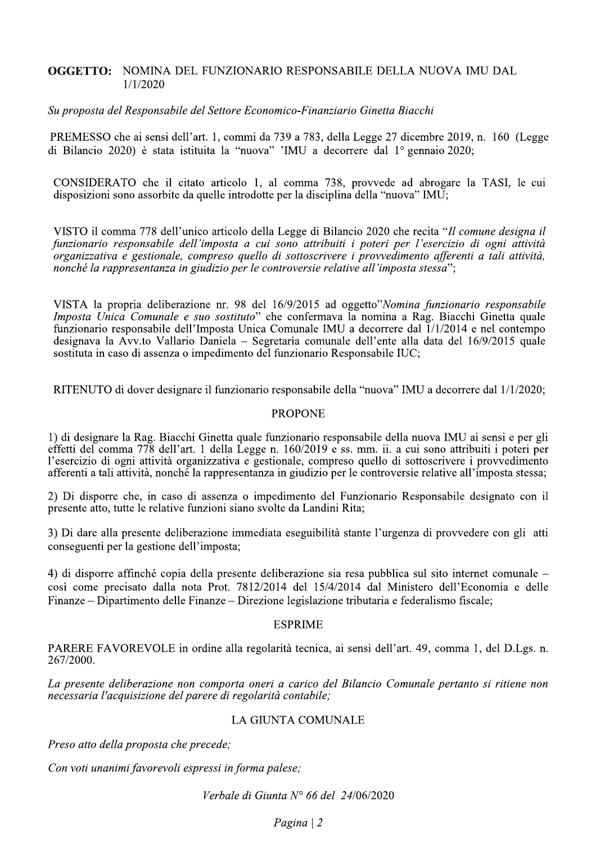### **OGGETTO: NOMINA DEL FUNZIONARIO RESPONSABILE DELLA NUOVA IMU DAL**  $1/1/2020$

### Su proposta del Responsabile del Settore Economico-Finanziario Ginetta Biacchi

PREMESSO che ai sensi dell'art. 1, commi da 739 a 783, della Legge 27 dicembre 2019, n. 160 (Legge di Bilancio 2020) è stata istituita la "nuova" 'IMU a decorrere dal 1º gennaio 2020;

CONSIDERATO che il citato articolo 1, al comma 738, provvede ad abrogare la TASI, le cui disposizioni sono assorbite da quelle introdotte per la disciplina della "nuova" IMU;

VISTO il comma 778 dell'unico articolo della Legge di Bilancio 2020 che recita "Il comune designa il funzionario responsabile dell'imposta a cui sono attribuiti i poteri per l'esercizio di ogni attività organizzativa e gestionale, compreso quello di sottoscrivere i provvedimento afferenti a tali attività, nonché la rappresentanza in giudizio per le controversie relative all'imposta stessa";

VISTA la propria deliberazione nr. 98 del 16/9/2015 ad oggetto"Nomina funzionario responsabile Imposta Unica Comunale e suo sostituto" che confermava la nomina a Rag. Biacchi Ginetta quale funzionario responsabile dell'Imposta Unica Comunale IMU a decorrere dal 1/1/2014 e nel contempo designava la Avv.to Vallario Daniela – Segretaria comunale dell'ente alla data del 16/9/2015 quale sostituta in caso di assenza o impedimento del funzionario Responsabile IUC;

RITENUTO di dover designare il funzionario responsabile della "nuova" IMU a decorrere dal 1/1/2020;

### **PROPONE**

1) di designare la Rag. Biacchi Ginetta quale funzionario responsabile della nuova IMU ai sensi e per gli effetti del comma 778 dell'art. 1 della Legge n. 160/2019 e ss. mm. ii. a cui sono attribuiti i poteri per l'esercizio di ogni attività organizzativa e gestionale, compreso quello di sottoscrivere i provvedimento afferenti a tali attività, nonché la rappresentanza in giudizio per le controversie relative all'imposta stessa;

2) Di disporre che, in caso di assenza o impedimento del Funzionario Responsabile designato con il presente atto, tutte le relative funzioni siano svolte da Landini Rita;

3) Di dare alla presente deliberazione immediata eseguibilità stante l'urgenza di provvedere con gli atti conseguenti per la gestione dell'imposta:

4) di disporre affinché copia della presente deliberazione sia resa pubblica sul sito internet comunale – così come precisato dalla nota Prot. 7812/2014 del 15/4/2014 dal Ministero dell'Economia e delle Finanze – Dipartimento delle Finanze – Direzione legislazione tributaria e federalismo fiscale;

### **ESPRIME**

PARERE FAVOREVOLE in ordine alla regolarità tecnica, ai sensi dell'art. 49, comma 1, del D.Lgs. n. 267/2000.

La presente deliberazione non comporta oneri a carico del Bilancio Comunale pertanto si ritiene non necessaria l'acquisizione del parere di regolarità contabile;

# LA GIUNTA COMUNALE

Preso atto della proposta che precede;

Con voti unanimi favorevoli espressi in forma palese;

Verbale di Giunta N° 66 del 24/06/2020

 $Pagina \mid 2$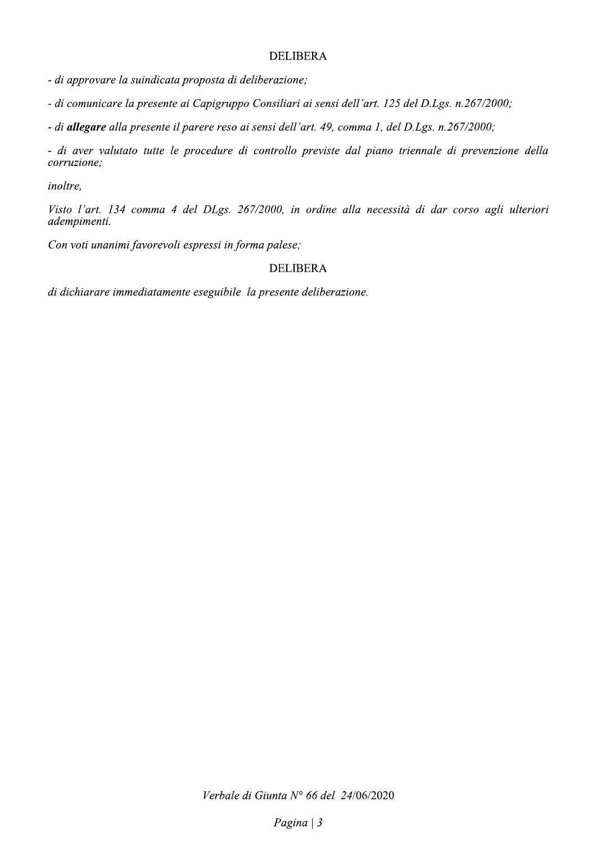## **DELIBERA**

- di approvare la suindicata proposta di deliberazione;

- di comunicare la presente ai Capigruppo Consiliari ai sensi dell'art. 125 del D.Lgs. n.267/2000;

- di allegare alla presente il parere reso ai sensi dell'art. 49, comma 1, del D.Lgs. n.267/2000;

- di aver valutato tutte le procedure di controllo previste dal piano triennale di prevenzione della corruzione;

inoltre.

Visto l'art. 134 comma 4 del DLgs. 267/2000, in ordine alla necessità di dar corso agli ulteriori adempimenti.

Con voti unanimi favorevoli espressi in forma palese;

# **DELIBERA**

di dichiarare immediatamente eseguibile la presente deliberazione.

Verbale di Giunta Nº 66 del 24/06/2020

Pagina  $|3$